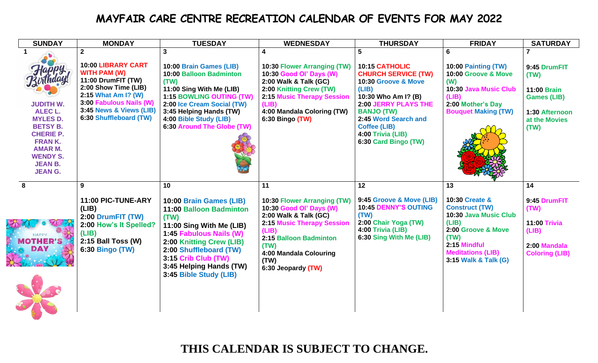## **MAYFAIR CARE CENTRE RECREATION CALENDAR OF EVENTS FOR MAY 2022**

| <b>SUNDAY</b>                                                                                                                                                                                  | <b>MONDAY</b>                                                                                                                                                                                                           | <b>TUESDAY</b>                                                                                                                                                                                                                                            | <b>WEDNESDAY</b>                                                                                                                                                                                                              | <b>THURSDAY</b>                                                                                                                                                                                                                                          | <b>FRIDAY</b>                                                                                                                                                                     | <b>SATURDAY</b>                                                                                             |
|------------------------------------------------------------------------------------------------------------------------------------------------------------------------------------------------|-------------------------------------------------------------------------------------------------------------------------------------------------------------------------------------------------------------------------|-----------------------------------------------------------------------------------------------------------------------------------------------------------------------------------------------------------------------------------------------------------|-------------------------------------------------------------------------------------------------------------------------------------------------------------------------------------------------------------------------------|----------------------------------------------------------------------------------------------------------------------------------------------------------------------------------------------------------------------------------------------------------|-----------------------------------------------------------------------------------------------------------------------------------------------------------------------------------|-------------------------------------------------------------------------------------------------------------|
| hday<br><b>JUDITH W.</b><br><b>ALEC L.</b><br><b>MYLES D.</b><br><b>BETSY B.</b><br><b>CHERIE P.</b><br><b>FRANK.</b><br><b>AMAR M.</b><br><b>WENDY S.</b><br><b>JEAN B.</b><br><b>JEAN G.</b> | $\overline{2}$<br><b>10:00 LIBRARY CART</b><br><b>WITH PAM (W)</b><br>11:00 DrumFIT (TW)<br>2:00 Show Time (LIB)<br>2:15 What Am I? (W)<br>3:00 Fabulous Nails (W)<br>3:45 News & Views (LIB)<br>6:30 Shuffleboard (TW) | 3<br>10:00 Brain Games (LIB)<br>10:00 Balloon Badminton<br>(TW)<br>11:00 Sing With Me (LIB)<br>1:15 BOWLING OUTING (TW)<br>2:00 Ice Cream Social (TW)<br>3:45 Helping Hands (TW)<br>4:00 Bible Study (LIB)<br>6:30 Around The Globe (TW)                  | 10:30 Flower Arranging (TW)<br>10:30 Good Ol' Days (W)<br>2:00 Walk & Talk (GC)<br>2:00 Knitting Crew (TW)<br><b>2:15 Music Therapy Session</b><br>(LIB)<br>4:00 Mandala Coloring (TW)<br>6:30 Bingo (TW)                     | 5<br>10:15 CATHOLIC<br><b>CHURCH SERVICE (TW)</b><br>10:30 Groove & Move<br>(LIB)<br>10:30 Who Am I? (B)<br><b>2:00 JERRY PLAYS THE</b><br><b>BANJO (TW)</b><br>2:45 Word Search and<br><b>Coffee (LIB)</b><br>4:00 Trivia (LIB)<br>6:30 Card Bingo (TW) | 6<br>10:00 Painting (TW)<br>10:00 Groove & Move<br>(W)<br>10:30 Java Music Club<br>(LIB)<br>2:00 Mother's Day<br><b>Bouquet Making (TW)</b>                                       | 9:45 DrumFIT<br>(TW)<br><b>11:00 Brain</b><br><b>Games (LIB)</b><br>1:30 Afternoon<br>at the Movies<br>(TW) |
| 8<br><b>MOTHER'S</b><br>DAY                                                                                                                                                                    | 9<br>11:00 PIC-TUNE-ARY<br>(LIB)<br>2:00 DrumFIT (TW)<br>2:00 How's It Spelled?<br>(LIB)<br>2:15 Ball Toss (W)<br>6:30 Bingo (TW)                                                                                       | 10<br>10:00 Brain Games (LIB)<br>11:00 Balloon Badminton<br>(TW)<br>11:00 Sing With Me (LIB)<br>1:45 Fabulous Nails (W)<br>2:00 Knitting Crew (LIB)<br>2:00 Shuffleboard (TW)<br>3:15 Crib Club (TW)<br>3:45 Helping Hands (TW)<br>3:45 Bible Study (LIB) | 11<br>10:30 Flower Arranging (TW)<br>10:30 Good Ol' Days (W)<br>2:00 Walk & Talk (GC)<br><b>2:15 Music Therapy Session</b><br>(LIB)<br>2:15 Balloon Badminton<br>(TW)<br>4:00 Mandala Colouring<br>(TW)<br>6:30 Jeopardy (TW) | 12<br>9:45 Groove & Move (LIB)<br><b>10:45 DENNY'S OUTING</b><br>(TW)<br>2:00 Chair Yoga (TW)<br>4:00 Trivia (LIB)<br>6:30 Sing With Me (LIB)                                                                                                            | 13<br>10:30 Create &<br><b>Construct (TW)</b><br>10:30 Java Music Club<br>(LIB)<br>2:00 Groove & Move<br>(TW)<br>2:15 Mindful<br><b>Meditations (LIB)</b><br>3:15 Walk & Talk (G) | 14<br>9:45 DrumFIT<br>(TW)<br><b>11:00 Trivia</b><br>(LIB)<br>2:00 Mandala<br><b>Coloring (LIB)</b>         |

西南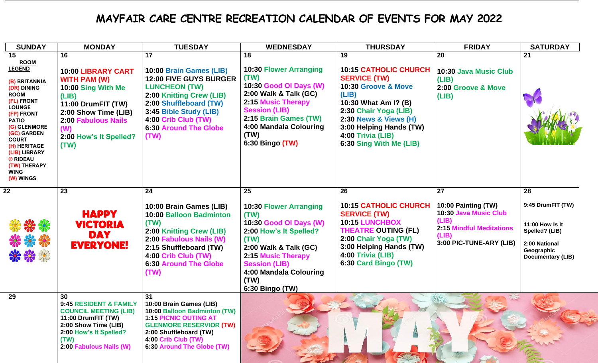## **MAYFAIR CARE CENTRE RECREATION CALENDAR OF EVENTS FOR MAY 2022**

| <b>SUNDAY</b>                                                                                                                                                                                                                                                                          | <b>MONDAY</b>                                                                                                                                                                                       | <b>TUESDAY</b>                                                                                                                                                                                                                 | <b>WEDNESDAY</b>                                                                                                                                                                                                                  | <b>THURSDAY</b>                                                                                                                                                                                                                                           | <b>FRIDAY</b>                                                                                                                | <b>SATURDAY</b>                                                                                                   |
|----------------------------------------------------------------------------------------------------------------------------------------------------------------------------------------------------------------------------------------------------------------------------------------|-----------------------------------------------------------------------------------------------------------------------------------------------------------------------------------------------------|--------------------------------------------------------------------------------------------------------------------------------------------------------------------------------------------------------------------------------|-----------------------------------------------------------------------------------------------------------------------------------------------------------------------------------------------------------------------------------|-----------------------------------------------------------------------------------------------------------------------------------------------------------------------------------------------------------------------------------------------------------|------------------------------------------------------------------------------------------------------------------------------|-------------------------------------------------------------------------------------------------------------------|
| 15<br><b>ROOM</b><br><b>LEGEND</b><br>(B) BRITANNIA<br>(DR) DINING<br><b>ROOM</b><br>(FL) FRONT<br><b>LOUNGE</b><br>(FP) FRONT<br><b>PATIO</b><br>(G) GLENMORE<br>(GC) GARDEN<br><b>COURT</b><br>(H) HERITAGE<br>(LIB) LIBRARY<br>® RIDEAU<br>(TW) THERAPY<br><b>WING</b><br>(W) WINGS | 16<br><b>10:00 LIBRARY CART</b><br><b>WITH PAM (W)</b><br>10:00 Sing With Me<br>(LIB)<br>11:00 DrumFIT (TW)<br>2:00 Show Time (LIB)<br>2:00 Fabulous Nails<br>(W)<br>2:00 How's It Spelled?<br>(TW) | 17<br>10:00 Brain Games (LIB)<br>12:00 FIVE GUYS BURGER<br><b>LUNCHEON (TW)</b><br>2:00 Knitting Crew (LIB)<br>2:00 Shuffleboard (TW)<br>3:45 Bible Study (LIB)<br>4:00 Crib Club (TW)<br><b>6:30 Around The Globe</b><br>(TW) | 18<br><b>10:30 Flower Arranging</b><br>(TW)<br>10:30 Good Ol Days (W)<br>2:00 Walk & Talk (GC)<br><b>2:15 Music Therapy</b><br><b>Session (LIB)</b><br>2:15 Brain Games (TW)<br>4:00 Mandala Colouring<br>(TW)<br>6:30 Bingo (TW) | 19<br><b>10:15 CATHOLIC CHURCH</b><br><b>SERVICE (TW)</b><br>10:30 Groove & Move<br>(LIB)<br>10:30 What Am I? (B)<br>2:30 Chair Yoga (LIB)<br><b>2:30 News &amp; Views (H)</b><br>3:00 Helping Hands (TW)<br>4:00 Trivia (LIB)<br>6:30 Sing With Me (LIB) | 20<br>10:30 Java Music Club<br>(LIB)<br>2:00 Groove & Move<br>(LIB)                                                          | 21                                                                                                                |
| 22                                                                                                                                                                                                                                                                                     | 23                                                                                                                                                                                                  | 24                                                                                                                                                                                                                             | 25                                                                                                                                                                                                                                | 26                                                                                                                                                                                                                                                        | 27                                                                                                                           | 28                                                                                                                |
| ***<br>***                                                                                                                                                                                                                                                                             | <b>HAPPY</b><br><b>VICTORIA</b><br><b>DAY</b><br><b>EVERYONE!</b>                                                                                                                                   | 10:00 Brain Games (LIB)<br><b>10:00 Balloon Badminton</b><br>(TW)<br>2:00 Knitting Crew (LIB)<br>2:00 Fabulous Nails (W)<br>2:15 Shuffleboard (TW)<br>4:00 Crib Club (TW)<br><b>6:30 Around The Globe</b><br>(TW)              | <b>10:30 Flower Arranging</b><br>(TW)<br>10:30 Good Ol Days (W)<br>2:00 How's It Spelled?<br>(TW)<br>2:00 Walk & Talk (GC)<br>2:15 Music Therapy<br><b>Session (LIB)</b><br>4:00 Mandala Colouring<br>(TW)<br>6:30 Bingo (TW)     | <b>10:15 CATHOLIC CHURCH</b><br><b>SERVICE (TW)</b><br>10:15 LUNCHBOX<br><b>THEATRE OUTING (FL)</b><br>2:00 Chair Yoga (TW)<br>3:00 Helping Hands (TW)<br>4:00 Trivia (LIB)<br>6:30 Card Bingo (TW)                                                       | 10:00 Painting (TW)<br>10:30 Java Music Club<br>(LIB)<br><b>2:15 Mindful Meditations</b><br>(LIB)<br>3:00 PIC-TUNE-ARY (LIB) | 9:45 DrumFIT (TW)<br>11:00 How Is It<br>Spelled? (LIB)<br>2:00 National<br>Geographic<br><b>Documentary (LIB)</b> |
| 29                                                                                                                                                                                                                                                                                     | 30<br>9:45 RESIDENT & FAMILY<br><b>COUNCIL MEETING (LIB)</b><br>11:00 DrumFIT (TW)<br>2:00 Show Time (LIB)<br>2:00 How's It Spelled?<br>(TW)<br>2:00 Fabulous Nails (W)                             | 31<br>10:00 Brain Games (LIB)<br>10:00 Balloon Badminton (TW)<br><b>1:15 PICNIC OUTING AT</b><br><b>GLENMORE RESERVIOR (TW)</b><br>2:00 Shuffleboard (TW)<br>4:00 Crib Club (TW)<br>6:30 Around The Globe (TW)                 |                                                                                                                                                                                                                                   |                                                                                                                                                                                                                                                           | $\frac{1}{2}$                                                                                                                |                                                                                                                   |